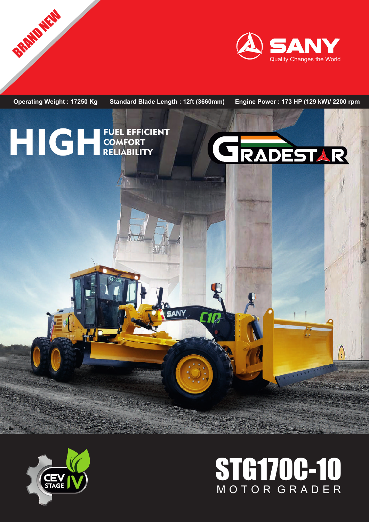





**BRAND NEW** 

# STG170C-10 M O T O R G R A D E R